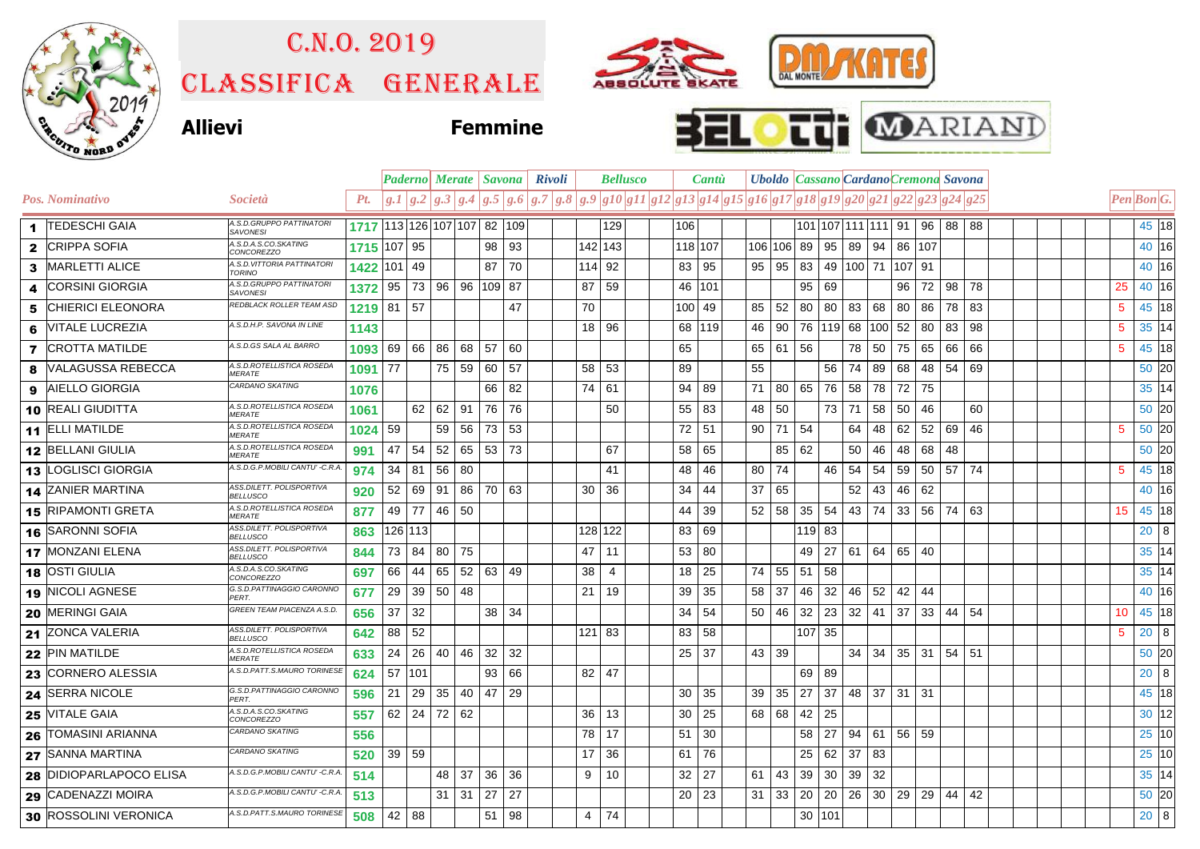

## C.n.o. 2019

Classifica generale







|                               |                                              |                             | <b>Paderno Merate   Savona   Rivoli</b> |              |                 |    |        |    | <b>Bellusco</b> |                                                                                                        | Cantu |          |      |         | Uboldo Cassano Cardano Cremona Savona |                             |              |         |        |            |         |       |  |                  |                  |
|-------------------------------|----------------------------------------------|-----------------------------|-----------------------------------------|--------------|-----------------|----|--------|----|-----------------|--------------------------------------------------------------------------------------------------------|-------|----------|------|---------|---------------------------------------|-----------------------------|--------------|---------|--------|------------|---------|-------|--|------------------|------------------|
| Pos. Nominativo               | <i>Società</i>                               | Pt.                         |                                         |              |                 |    |        |    |                 | $ g.1 g.2 g.3 g.4 g.5 g.6 g.7 g.8 g.9 g10 g11 g12 g13 g14 g15 g16 g17 g18 g19 g20 g21 g22 g23 g24 g25$ |       |          |      |         |                                       |                             |              |         |        |            |         |       |  |                  | Pen Bon G.       |
| 1 TEDESCHI GAIA               | A.S.D.GRUPPO PATTINATORI<br><b>SAVONESI</b>  | 1717 113 126 107 107 82 109 |                                         |              |                 |    |        |    |                 | 129                                                                                                    | 106   |          |      |         |                                       | 101 107 111 111 91 96 88 88 |              |         |        |            |         |       |  |                  | 45 18            |
| 2 CRIPPA SOFIA                | A.S.D.A.S.CO.SKATING<br><b>CONCOREZZO</b>    | 1715 107 95                 |                                         |              |                 |    | 98     | 93 |                 | 142 143                                                                                                |       | 118 107  |      | 106 106 | 89                                    | 95                          | 89 94        |         | 86 107 |            |         |       |  |                  | 40 16            |
| 3  MARLETTI ALICE             | A.S.D. VITTORIA PATTINATORI<br><b>TORINO</b> | 1422 101                    |                                         | 49           |                 |    | 87     | 70 |                 | 114 92                                                                                                 |       | 83 95    | 95   | 95      | 83                                    |                             | 49 100 71    |         | 107 91 |            |         |       |  |                  | 40 16            |
| <b>CORSINI GIORGIA</b><br>4   | A.S.D.GRUPPO PATTINATORI<br><b>SAVONESI</b>  | 1372                        | 95                                      | 73           | 96              | 96 | 109 87 |    | 87              | 59                                                                                                     |       | 46   101 |      |         | 95                                    | 69                          |              |         | 96     | 72         | 98      | 78    |  | 25               | 40 16            |
| <b>CHIERICI ELEONORA</b><br>5 | REDBLACK ROLLER TEAM ASD                     | 1219 81 57                  |                                         |              |                 |    |        | 47 | 70              |                                                                                                        |       | 100 49   | 85   | 52      | 80                                    | 80                          | 83 68        |         | 80 I   | 86         |         | 78 83 |  | 5                | 45 18            |
| 6 VITALE LUCREZIA             | A.S.D.H.P. SAVONA IN LINE                    | 1143                        |                                         |              |                 |    |        |    |                 | 18 <sup>1</sup><br>96                                                                                  |       | 68   119 | 46   | 90      |                                       | 76   119   68   100         |              |         | 52     | 80         | 83      | 98    |  | $5\phantom{.0}$  | 35 14            |
| <b>7</b> CROTTA MATILDE       | A.S.D.GS SALA AL BARRO                       | 1093 69                     |                                         | 66           | 86              | 68 | 57     | 60 |                 |                                                                                                        | 65    |          | 65   | 61      | 56                                    |                             | 78 50        |         | 75     | 65         | 66      | 66    |  | $\overline{5}$   | 45 18            |
| <b>VALAGUSSA REBECCA</b><br>8 | A.S.D.ROTELLISTICA ROSEDA<br>MERATE          | 1091                        | 77                                      |              | 75              | 59 | 60     | 57 |                 | 58 53                                                                                                  | 89    |          | 55   |         |                                       | 56                          | 74           | 89      | 68     | 48         |         | 54 69 |  |                  | 50 20            |
| 9 AIELLO GIORGIA              | CARDANO SKATING                              | 1076                        |                                         |              |                 |    | 66     | 82 |                 | 74 61                                                                                                  | 94    | 89       | 71   |         | 80 65                                 | 76                          | 58 78        |         | 72     | 75         |         |       |  |                  | 35 14            |
| 10 REALI GIUDITTA             | A.S.D.ROTELLISTICA ROSEDA<br><b>MERATE</b>   | 1061                        |                                         |              | 62   62         | 91 | 76     | 76 |                 | 50                                                                                                     | 55    | 83       | 48   | 50      |                                       | 73                          | 71           | 58      | 50     | 46         |         | 60    |  |                  | 50 20            |
| 11 ELLI MATILDE               | A.S.D.ROTELLISTICA ROSEDA<br><b>MERATE</b>   | 1024                        | 59                                      |              | 59              | 56 | 73     | 53 |                 |                                                                                                        |       | 72   51  | 90   | 71      | 54                                    |                             | 64           | 48      | 62     | 52         | 69 I    | 46    |  | -5               | 50 20            |
| 12 BELLANI GIULIA             | A.S.D.ROTELLISTICA ROSEDA<br><b>MERATE</b>   | 991                         | 47                                      | 54           | 52              | 65 | 53 73  |    |                 | 67                                                                                                     | 58    | 65       |      | 85      | 62                                    |                             | 50           | 46      | 48     | 68         | 48      |       |  |                  | 50 20            |
| 13 LOGLISCI GIORGIA           | A.S.D.G.P.MOBILI CANTU' -C.R.A.              | 974                         |                                         | $34 \mid 81$ | 56              | 80 |        |    |                 | 41                                                                                                     | 48    | 46       | 80   | 74      |                                       | 46                          | 54           | 54      |        | 59 50      |         | 57 74 |  | $5\phantom{.0}$  | 45 18            |
| <b>14 ZANIER MARTINA</b>      | ASS.DILETT. POLISPORTIVA<br><b>BELLUSCO</b>  | 920                         | 52                                      | 69           | 91              | 86 | 70 63  |    | 30              | 36                                                                                                     | 34    | 44       | 37   | 65      |                                       |                             | 52           | 43      | 46     | 62         |         |       |  |                  | 40 16            |
| <b>15 RIPAMONTI GRETA</b>     | A.S.D.ROTELLISTICA ROSEDA<br><b>MERATE</b>   | 877                         | 49                                      | 77           | 46              | 50 |        |    |                 |                                                                                                        | 44    | 39       | 52   | 58      | 35                                    | 54                          | 43 74        |         | 33     | $56$ 74 63 |         |       |  | 15 <sup>15</sup> | 45 18            |
| 16 SARONNI SOFIA              | ASS.DILETT. POLISPORTIVA<br><b>BELLUSCO</b>  | 863                         |                                         | 126 113      |                 |    |        |    |                 | 128 122                                                                                                | 83    | 69       |      |         |                                       | 119 83                      |              |         |        |            |         |       |  |                  | $20 \quad 8$     |
| 17 MONZANI ELENA              | ASS.DILETT. POLISPORTIVA<br><b>BELLUSCO</b>  | 844                         |                                         | 73 84        | 80              | 75 |        |    | 47              | 11                                                                                                     | 53    | 80       |      |         | 49                                    | 27                          | 61 64        |         | 65 40  |            |         |       |  |                  | 35 14            |
| 18 OSTI GIULIA                | A.S.D.A.S.CO.SKATING<br><b>CONCOREZZO</b>    | 697                         | 66                                      | 44           | 65              | 52 | 63     | 49 | 38              | 4                                                                                                      | 18    | 25       | 74   | 55      | 51                                    | 58                          |              |         |        |            |         |       |  |                  | 35 14            |
| 19 NICOLI AGNESE              | G.S.D.PATTINAGGIO CARONNO<br>PFRT.           | 677                         | 29                                      | 39           | 50 <sub>1</sub> | 48 |        |    |                 | 21<br>19                                                                                               | 39    | 35       | 58   | 37      | 46                                    | 32                          | 46           | 52      | 42     | 44         |         |       |  |                  | 40 16            |
| 20 MERINGI GAIA               | GREEN TEAM PIACENZA A.S.D.                   | 656                         | 37                                      | 32           |                 |    | 38 34  |    |                 |                                                                                                        | 34    | 54       | 50   | 46      | 32                                    | 23                          | $32 \mid 41$ |         | 37     | 33         | 44      | 54    |  | 10 <sup>°</sup>  | 45 18            |
| 21 ZONCA VALERIA              | ASS.DILETT. POLISPORTIVA<br><b>BELLUSCO</b>  | 642                         | 88                                      | 52           |                 |    |        |    |                 | 121 83                                                                                                 | 83    | 58       |      |         | 107                                   | 35                          |              |         |        |            |         |       |  | $5^{\circ}$      | $20\overline{8}$ |
| 22 PIN MATILDE                | A.S.D.ROTELLISTICA ROSEDA<br><b>MERATE</b>   | 633                         | 24                                      | 26           | 40              | 46 | 32     | 32 |                 |                                                                                                        | 25    | 37       | 43 I | 39      |                                       |                             |              | $34$ 34 | 35     | 31         | $54$ 51 |       |  |                  | 50 20            |
| 23 CORNERO ALESSIA            | A.S.D.PATT.S.MAURO TORINESE                  | 624                         | 57                                      | 101          |                 |    | 93     | 66 |                 | 82 47                                                                                                  |       |          |      |         | 69                                    | -89                         |              |         |        |            |         |       |  |                  | $20 \quad 8$     |
| 24 SERRA NICOLE               | G.S.D.PATTINAGGIO CARONNO<br>PERT.           | 596                         | 21                                      | 29           | 35              | 40 | 47     | 29 |                 |                                                                                                        | 30    | 35       | 39   | 35      | 27                                    | -37                         | 48 37 31 31  |         |        |            |         |       |  |                  | 45 18            |
| 25 VITALE GAIA                | A.S.D.A.S.CO.SKATING<br><b>CONCOREZZO</b>    | 557                         | 62                                      | 24           | 72 62           |    |        |    | 36              | 13                                                                                                     | 30    | 25       | 68   | 68      | 42                                    | 25                          |              |         |        |            |         |       |  |                  | 30 12            |
| 26 TOMASINI ARIANNA           | CARDANO SKATING                              | 556                         |                                         |              |                 |    |        |    | 78              | 17                                                                                                     | 51    | 30       |      |         | 58                                    | 27                          | 94           | 61      | 56 59  |            |         |       |  |                  | 25 10            |
| 27 SANNA MARTINA              | CARDANO SKATING                              | 520                         |                                         | 39 59        |                 |    |        |    | 17              | 36                                                                                                     | 61    | 76       |      |         | 25                                    | 62                          | 37           | 83      |        |            |         |       |  |                  | 25 10            |
| 28 DIDIOPARLAPOCO ELISA       | A.S.D.G.P.MOBILI CANTU' -C.R.A.              | 514                         |                                         |              | 48              | 37 | 36     | 36 | 9               | 10                                                                                                     | 32    | 27       | 61   | 43      | 39                                    | 30                          | 39           | 32      |        |            |         |       |  |                  | 35 14            |
| 29 CADENAZZI MOIRA            | A.S.D.G.P.MOBILI CANTU' -C.R.A.              | 513                         |                                         |              | 31              | 31 | 27     | 27 |                 |                                                                                                        |       | $20$ 23  | 31   | 33      | 20                                    | 20                          | 26 30        |         | 29     | 29         | 44      | 42    |  |                  | 50 20            |
| 30 ROSSOLINI VERONICA         | A.S.D.PATT.S.MAURO TORINESE                  | 508                         | 42 88                                   |              |                 |    | 51     | 98 |                 | 4 74                                                                                                   |       |          |      |         |                                       | 30 101                      |              |         |        |            |         |       |  |                  | 20 <sub>8</sub>  |